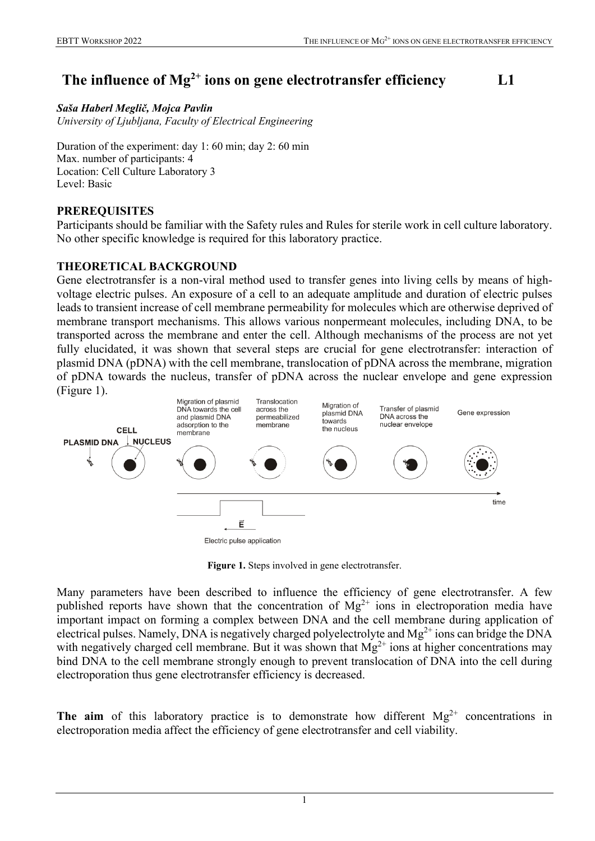# **The influence of Mg2+ ions on gene electrotransfer efficiency L1**

*Saša Haberl Meglič, Mojca Pavlin University of Ljubljana, Faculty of Electrical Engineering*

Duration of the experiment: day 1: 60 min; day 2: 60 min Max. number of participants: 4 Location: Cell Culture Laboratory 3 Level: Basic

## **PREREQUISITES**

Participants should be familiar with the Safety rules and Rules for sterile work in cell culture laboratory. No other specific knowledge is required for this laboratory practice.

## **THEORETICAL BACKGROUND**

Gene electrotransfer is a non-viral method used to transfer genes into living cells by means of highvoltage electric pulses. An exposure of a cell to an adequate amplitude and duration of electric pulses leads to transient increase of cell membrane permeability for molecules which are otherwise deprived of membrane transport mechanisms. This allows various nonpermeant molecules, including DNA, to be transported across the membrane and enter the cell. Although mechanisms of the process are not yet fully elucidated, it was shown that several steps are crucial for gene electrotransfer: interaction of plasmid DNA (pDNA) with the cell membrane, translocation of pDNA across the membrane, migration of pDNA towards the nucleus, transfer of pDNA across the nuclear envelope and gene expression (Figure 1).



**Figure 1.** Steps involved in gene electrotransfer.

Many parameters have been described to influence the efficiency of gene electrotransfer. A few published reports have shown that the concentration of  $Mg^{2+}$  ions in electroporation media have important impact on forming a complex between DNA and the cell membrane during application of electrical pulses. Namely, DNA is negatively charged polyelectrolyte and  $Mg^{2+}$  ions can bridge the DNA with negatively charged cell membrane. But it was shown that  $Mg^{2+}$  ions at higher concentrations may bind DNA to the cell membrane strongly enough to prevent translocation of DNA into the cell during electroporation thus gene electrotransfer efficiency is decreased.

**The aim** of this laboratory practice is to demonstrate how different  $Mg^{2+}$  concentrations in electroporation media affect the efficiency of gene electrotransfer and cell viability.

1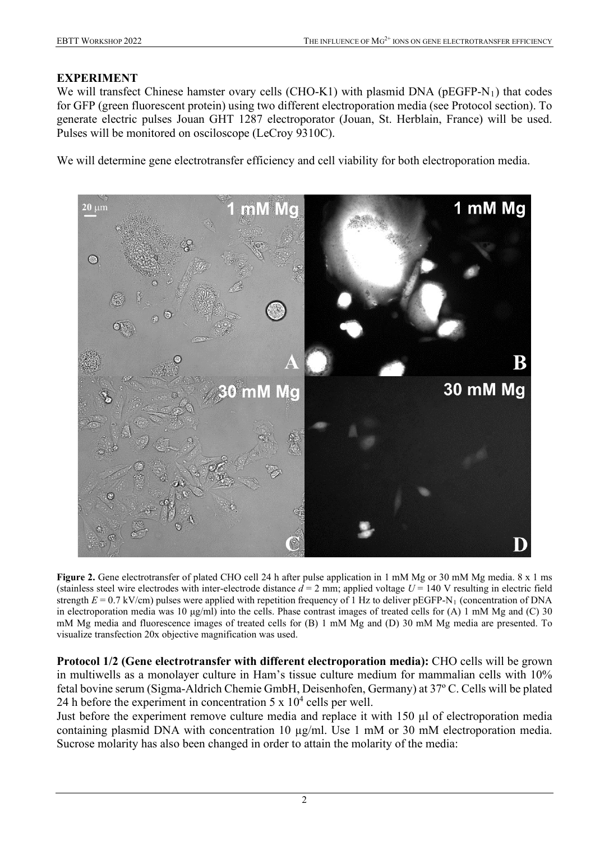## **EXPERIMENT**

We will transfect Chinese hamster ovary cells (CHO-K1) with plasmid DNA ( $pEGFP-N_1$ ) that codes for GFP (green fluorescent protein) using two different electroporation media (see Protocol section). To generate electric pulses Jouan GHT 1287 electroporator (Jouan, St. Herblain, France) will be used. Pulses will be monitored on osciloscope (LeCroy 9310C).

We will determine gene electrotransfer efficiency and cell viability for both electroporation media.



**Figure 2.** Gene electrotransfer of plated CHO cell 24 h after pulse application in 1 mM Mg or 30 mM Mg media. 8 x 1 ms (stainless steel wire electrodes with inter-electrode distance  $d = 2$  mm; applied voltage  $U = 140$  V resulting in electric field strength  $E = 0.7$  kV/cm) pulses were applied with repetition frequency of 1 Hz to deliver pEGFP-N<sub>1</sub> (concentration of DNA in electroporation media was 10  $\mu$ g/ml) into the cells. Phase contrast images of treated cells for (A) 1 mM Mg and (C) 30 mM Mg media and fluorescence images of treated cells for (B) 1 mM Mg and (D) 30 mM Mg media are presented. To visualize transfection 20x objective magnification was used.

**Protocol 1/2 (Gene electrotransfer with different electroporation media):** CHO cells will be grown in multiwells as a monolayer culture in Ham's tissue culture medium for mammalian cells with 10% fetal bovine serum (Sigma-Aldrich Chemie GmbH, Deisenhofen, Germany) at 37º C. Cells will be plated 24 h before the experiment in concentration 5 x  $10^4$  cells per well.

Just before the experiment remove culture media and replace it with 150 µl of electroporation media containing plasmid DNA with concentration 10 µg/ml. Use 1 mM or 30 mM electroporation media. Sucrose molarity has also been changed in order to attain the molarity of the media: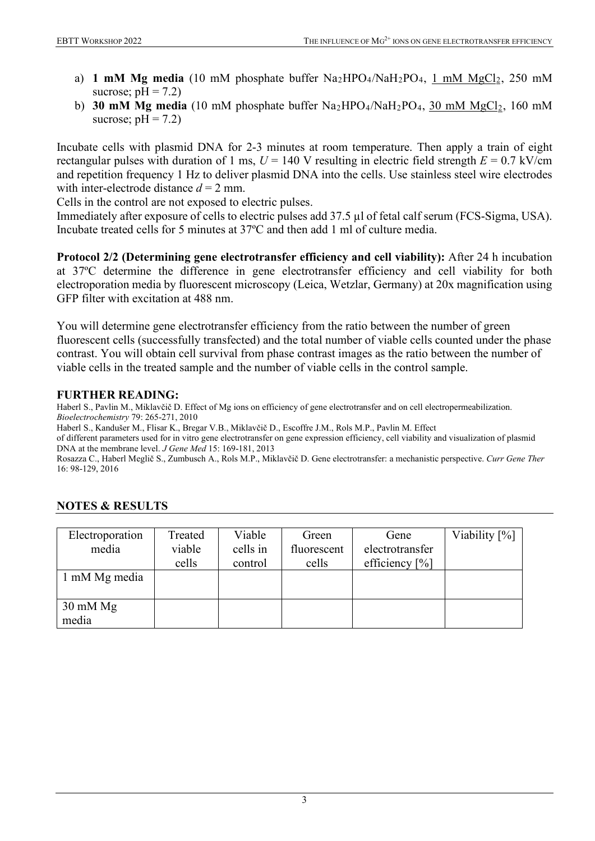- a) **1 mM Mg media** (10 mM phosphate buffer Na<sub>2</sub>HPO<sub>4</sub>/NaH<sub>2</sub>PO<sub>4</sub>, 1 mM MgCl<sub>2</sub>, 250 mM sucrose;  $pH = 7.2$ )
- b) **30 mM Mg media** (10 mM phosphate buffer Na<sub>2</sub>HPO<sub>4</sub>/NaH<sub>2</sub>PO<sub>4</sub>, 30 mM MgCl<sub>2</sub>, 160 mM sucrose;  $pH = 7.2$ )

Incubate cells with plasmid DNA for 2-3 minutes at room temperature. Then apply a train of eight rectangular pulses with duration of 1 ms,  $U = 140$  V resulting in electric field strength  $E = 0.7$  kV/cm and repetition frequency 1 Hz to deliver plasmid DNA into the cells. Use stainless steel wire electrodes with inter-electrode distance  $d = 2$  mm.

Cells in the control are not exposed to electric pulses.

Immediately after exposure of cells to electric pulses add 37.5 µl of fetal calf serum (FCS-Sigma, USA). Incubate treated cells for 5 minutes at 37ºC and then add 1 ml of culture media.

**Protocol 2/2 (Determining gene electrotransfer efficiency and cell viability):** After 24 h incubation at 37ºC determine the difference in gene electrotransfer efficiency and cell viability for both electroporation media by fluorescent microscopy (Leica, Wetzlar, Germany) at 20x magnification using GFP filter with excitation at 488 nm.

You will determine gene electrotransfer efficiency from the ratio between the number of green fluorescent cells (successfully transfected) and the total number of viable cells counted under the phase contrast. You will obtain cell survival from phase contrast images as the ratio between the number of viable cells in the treated sample and the number of viable cells in the control sample.

## **FURTHER READING:**

Haberl S., Pavlin M., Miklavčič D. Effect of Mg ions on efficiency of gene electrotransfer and on cell electropermeabilization. *Bioelectrochemistry* 79: 265-271, 2010

Haberl S., Kandušer M., Flisar K., Bregar V.B., Miklavčič D., Escoffre J.M., Rols M.P., Pavlin M. Effect

of different parameters used for in vitro gene electrotransfer on gene expression efficiency, cell viability and visualization of plasmid DNA at the membrane level. *J Gene Med* 15: 169-181, 2013

Rosazza C., Haberl Meglič S., Zumbusch A., Rols M.P., Miklavčič D. Gene electrotransfer: a mechanistic perspective. *Curr Gene Ther* 16: 98-129, 2016

| Electroporation    | Treated | Viable   | Green       | Gene              | Viability [%] |
|--------------------|---------|----------|-------------|-------------------|---------------|
| media              | viable  | cells in | fluorescent | electrotransfer   |               |
|                    | cells   | control  | cells       | efficiency $[\%]$ |               |
| 1 mM Mg media      |         |          |             |                   |               |
|                    |         |          |             |                   |               |
| $30 \text{ mM Mg}$ |         |          |             |                   |               |
| media              |         |          |             |                   |               |

## **NOTES & RESULTS**